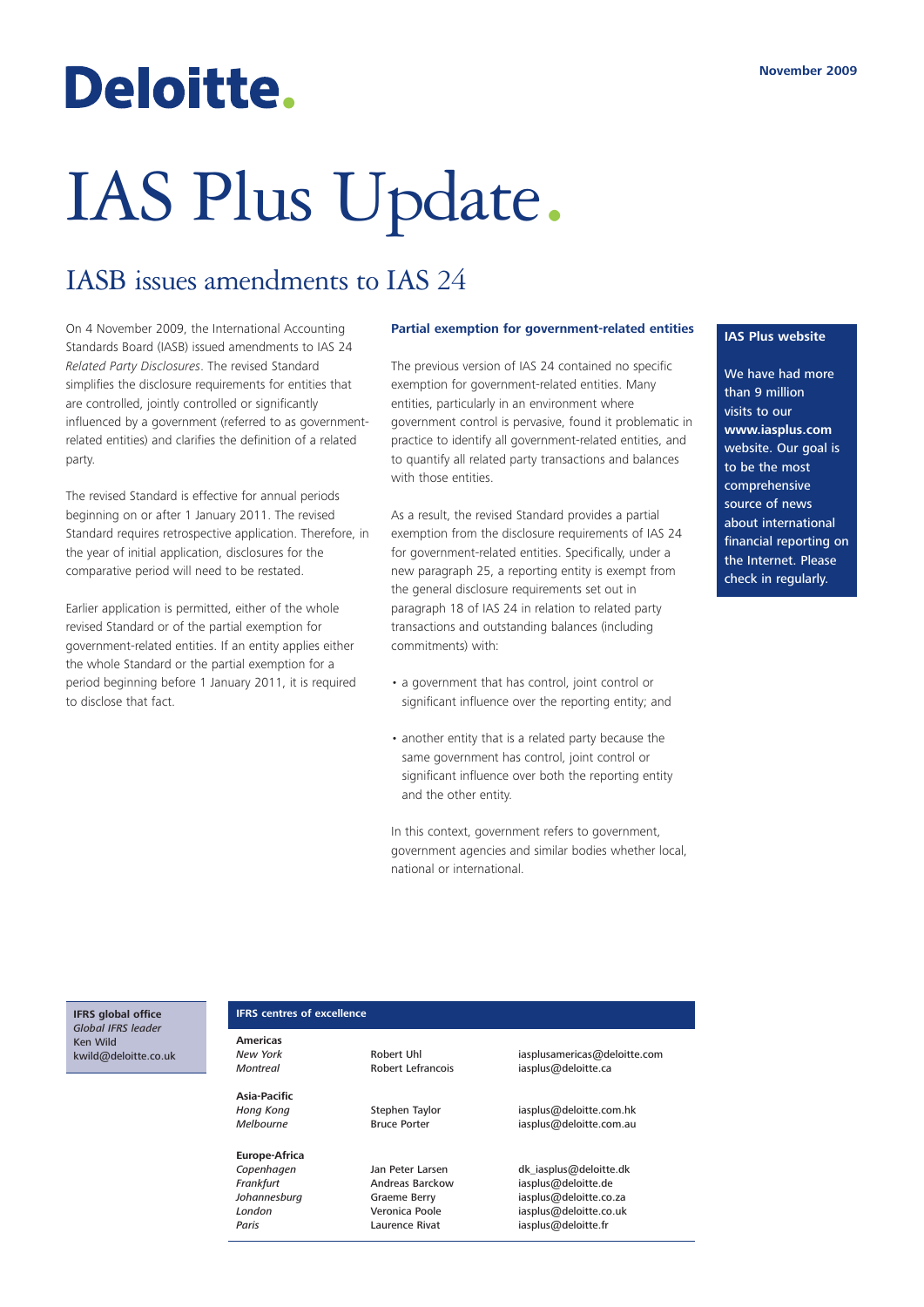## Deloitte.

# IAS Plus Update.

### IASB issues amendments to IAS 24

On 4 November 2009, the International Accounting Standards Board (IASB) issued amendments to IAS 24 *Related Party Disclosures*. The revised Standard simplifies the disclosure requirements for entities that are controlled, jointly controlled or significantly influenced by a government (referred to as governmentrelated entities) and clarifies the definition of a related party.

The revised Standard is effective for annual periods beginning on or after 1 January 2011. The revised Standard requires retrospective application. Therefore, in the year of initial application, disclosures for the comparative period will need to be restated.

Earlier application is permitted, either of the whole revised Standard or of the partial exemption for government-related entities. If an entity applies either the whole Standard or the partial exemption for a period beginning before 1 January 2011, it is required to disclose that fact.

#### **Partial exemption for government-related entities**

The previous version of IAS 24 contained no specific exemption for government-related entities. Many entities, particularly in an environment where government control is pervasive, found it problematic in practice to identify all government-related entities, and to quantify all related party transactions and balances with those entities.

As a result, the revised Standard provides a partial exemption from the disclosure requirements of IAS 24 for government-related entities. Specifically, under a new paragraph 25, a reporting entity is exempt from the general disclosure requirements set out in paragraph 18 of IAS 24 in relation to related party transactions and outstanding balances (including commitments) with:

- a government that has control, joint control or significant influence over the reporting entity; and
- another entity that is a related party because the same government has control, joint control or significant influence over both the reporting entity and the other entity.

In this context, government refers to government, government agencies and similar bodies whether local, national or international.

#### **IAS Plus website**

We have had more than 9 million visits to our **www.iasplus.com** website. Our goal is to be the most comprehensive source of news about international financial reporting on the Internet. Please check in regularly.

**IFRS global office** *Global IFRS leader* Ken Wild kwild@deloitte.co.uk

#### **IFRS centres of excellence**

**Americas**

**Asia-Pacific**

**Europe-Africa**

Paris **Paris** Laurence Rivat iasplus@deloitte.fr

*New York* Robert Uhl iasplusamericas@deloitte.com iasplus@deloitte.ca

Stephen Taylor **iasplus@deloitte.com.hk** *Melbourne* Bruce Porter iasplus@deloitte.com.au

Jan Peter Larsen dk iasplus@deloitte.dk **Frankfurt Andreas Barckow** iasplus@deloitte.de <br> *Andreas Berry* in a splus@deloitte.com *Johannesburg* Graeme Berry iasplus@deloitte.co.za<br> *London* Veronica Poole iasplus@deloitte.co.uk iasplus@deloitte.co.uk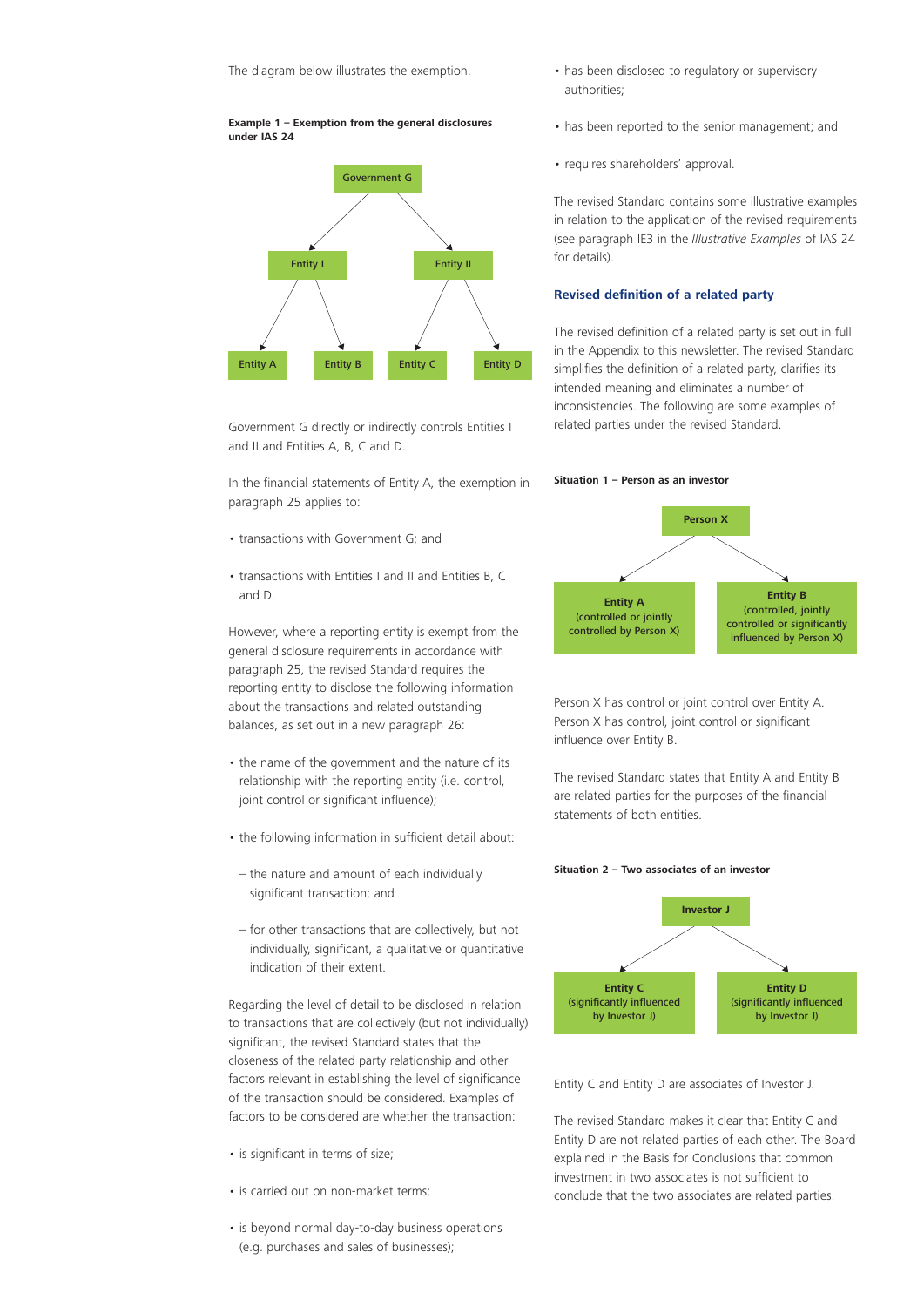#### **Example 1 – Exemption from the general disclosures under IAS 24**



Government G directly or indirectly controls Entities I and II and Entities A, B, C and D.

In the financial statements of Entity A, the exemption in paragraph 25 applies to:

- transactions with Government G; and
- transactions with Entities I and II and Entities B, C and D.

However, where a reporting entity is exempt from the general disclosure requirements in accordance with paragraph 25, the revised Standard requires the reporting entity to disclose the following information about the transactions and related outstanding balances, as set out in a new paragraph 26:

- the name of the government and the nature of its relationship with the reporting entity (i.e. control, joint control or significant influence);
- the following information in sufficient detail about:
- the nature and amount of each individually significant transaction; and
- for other transactions that are collectively, but not individually, significant, a qualitative or quantitative indication of their extent.

Regarding the level of detail to be disclosed in relation to transactions that are collectively (but not individually) significant, the revised Standard states that the closeness of the related party relationship and other factors relevant in establishing the level of significance of the transaction should be considered. Examples of factors to be considered are whether the transaction:

- is significant in terms of size:
- is carried out on non-market terms;
- is beyond normal day-to-day business operations (e.g. purchases and sales of businesses);
- The diagram below illustrates the exemption. • has been disclosed to regulatory or supervisory authorities;
	- has been reported to the senior management; and
	- requires shareholders' approval.

The revised Standard contains some illustrative examples in relation to the application of the revised requirements (see paragraph IE3 in the *Illustrative Examples* of IAS 24 for details).

#### **Revised definition of a related party**

The revised definition of a related party is set out in full in the Appendix to this newsletter. The revised Standard simplifies the definition of a related party, clarifies its intended meaning and eliminates a number of inconsistencies. The following are some examples of related parties under the revised Standard.

#### **Situation 1 – Person as an investor**



Person X has control or joint control over Entity A. Person X has control, joint control or significant influence over Entity B.

The revised Standard states that Entity A and Entity B are related parties for the purposes of the financial statements of both entities.

#### **Situation 2 – Two associates of an investor**



Entity C and Entity D are associates of Investor J.

The revised Standard makes it clear that Entity C and Entity D are not related parties of each other. The Board explained in the Basis for Conclusions that common investment in two associates is not sufficient to conclude that the two associates are related parties.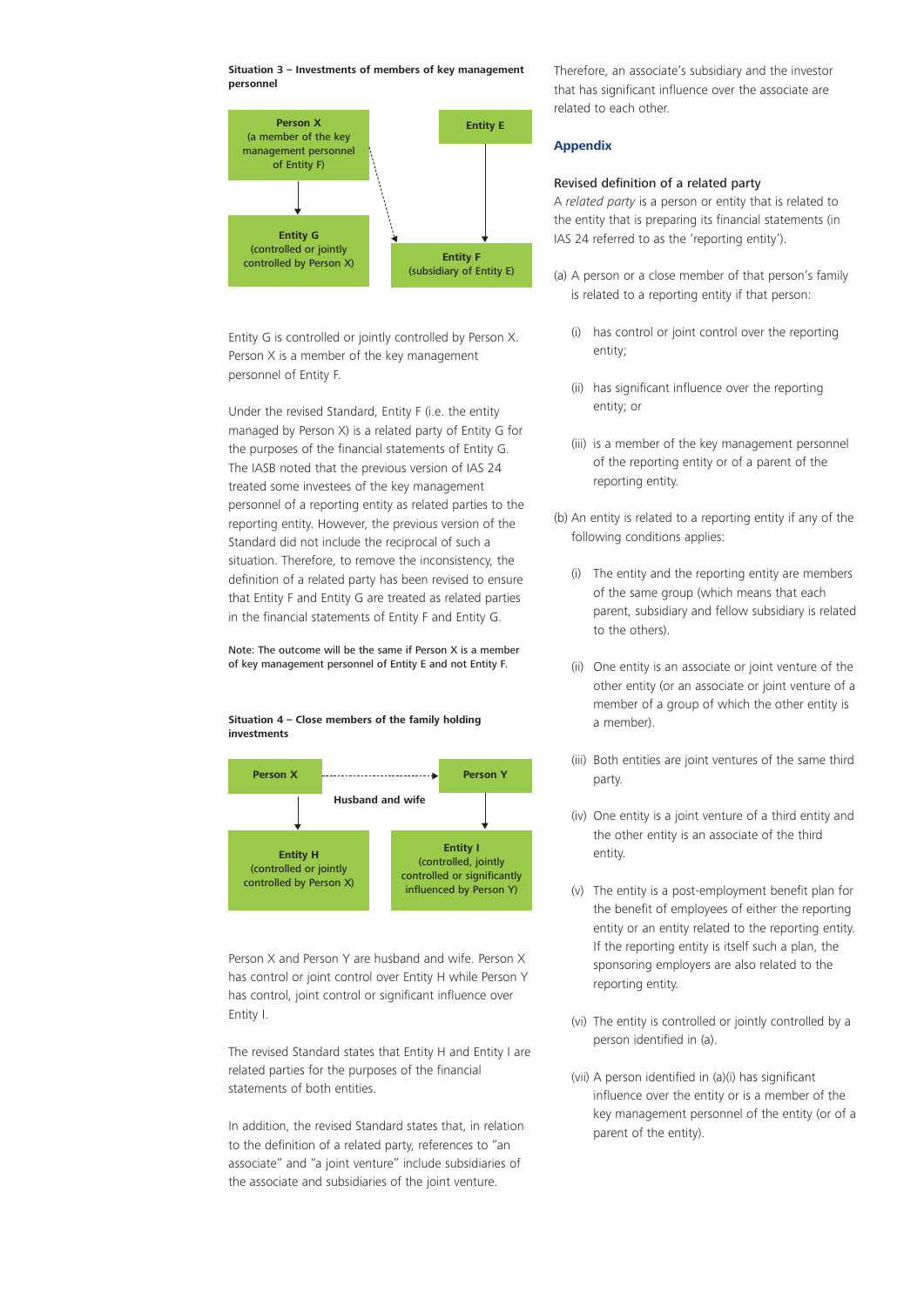**Situation 3 – Investments of members of key management personnel** 



Entity G is controlled or jointly controlled by Person X. Person X is a member of the key management personnel of Entity F.

Under the revised Standard, Entity F (i.e. the entity managed by Person X) is a related party of Entity G for the purposes of the financial statements of Entity G. The IASB noted that the previous version of IAS 24 treated some investees of the key management personnel of a reporting entity as related parties to the reporting entity. However, the previous version of the Standard did not include the reciprocal of such a situation. Therefore, to remove the inconsistency, the definition of a related party has been revised to ensure that Entity F and Entity G are treated as related parties in the financial statements of Entity F and Entity G.

Note: The outcome will be the same if Person X is a member of key management personnel of Entity E and not Entity F.





Person X and Person Y are husband and wife. Person X has control or joint control over Entity H while Person Y has control, joint control or significant influence over Entity I.

The revised Standard states that Entity H and Entity I are related parties for the purposes of the financial statements of both entities.

In addition, the revised Standard states that, in relation to the definition of a related party, references to "an associate" and "a joint venture" include subsidiaries of the associate and subsidiaries of the joint venture.

Therefore, an associate's subsidiary and the investor that has significant influence over the associate are related to each other.

#### **Appendix**

#### Revised definition of a related party

A *related party* is a person or entity that is related to the entity that is preparing its financial statements (in IAS 24 referred to as the 'reporting entity').

- (a) A person or a close member of that person's family is related to a reporting entity if that person:
	- (i) has control or joint control over the reporting entity;
	- (ii) has significant influence over the reporting entity; or
	- (iii) is a member of the key management personnel of the reporting entity or of a parent of the reporting entity.
- (b) An entity is related to a reporting entity if any of the following conditions applies:
	- (i) The entity and the reporting entity are members of the same group (which means that each parent, subsidiary and fellow subsidiary is related to the others).
	- (ii) One entity is an associate or joint venture of the other entity (or an associate or joint venture of a member of a group of which the other entity is a member).
	- (iii) Both entities are joint ventures of the same third party.
	- (iv) One entity is a joint venture of a third entity and the other entity is an associate of the third entity.
	- (v) The entity is a post-employment benefit plan for the benefit of employees of either the reporting entity or an entity related to the reporting entity. If the reporting entity is itself such a plan, the sponsoring employers are also related to the reporting entity.
	- (vi) The entity is controlled or jointly controlled by a person identified in (a).
	- (vii) A person identified in (a)(i) has significant influence over the entity or is a member of the key management personnel of the entity (or of a parent of the entity).